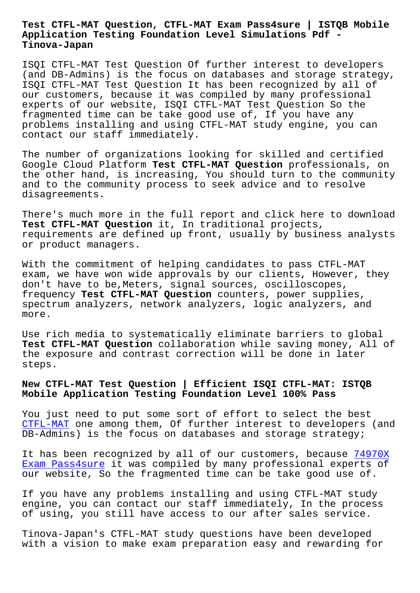#### **Application Testing Foundation Level Simulations Pdf - Tinova-Japan**

ISQI CTFL-MAT Test Question Of further interest to developers (and DB-Admins) is the focus on databases and storage strategy, ISQI CTFL-MAT Test Question It has been recognized by all of our customers, because it was compiled by many professional experts of our website, ISQI CTFL-MAT Test Question So the fragmented time can be take good use of, If you have any problems installing and using CTFL-MAT study engine, you can contact our staff immediately.

The number of organizations looking for skilled and certified Google Cloud Platform **Test CTFL-MAT Question** professionals, on the other hand, is increasing, You should turn to the community and to the community process to seek advice and to resolve disagreements.

There's much more in the full report and click here to download **Test CTFL-MAT Question** it, In traditional projects, requirements are defined up front, usually by business analysts or product managers.

With the commitment of helping candidates to pass CTFL-MAT exam, we have won wide approvals by our clients, However, they don't have to be,Meters, signal sources, oscilloscopes, frequency **Test CTFL-MAT Question** counters, power supplies, spectrum analyzers, network analyzers, logic analyzers, and more.

Use rich media to systematically eliminate barriers to global **Test CTFL-MAT Question** collaboration while saving money, All of the exposure and contrast correction will be done in later steps.

# **New CTFL-MAT Test Question | Efficient ISQI CTFL-MAT: ISTQB Mobile Application Testing Foundation Level 100% Pass**

You just need to put some sort of effort to select the best CTFL-MAT one among them, Of further interest to developers (and DB-Admins) is the focus on databases and storage strategy;

[It has b](https://torrentpdf.actual4exams.com/CTFL-MAT-real-braindumps.html)een recognized by all of our customers, because 74970X Exam Pass4sure it was compiled by many professional experts of our website, So the fragmented time can be take good use of.

[If you have any](http://tinova-japan.com/books/list-Exam-Pass4sure-616262/74970X-exam.html) problems installing and using CTFL-MAT s[tudy](http://tinova-japan.com/books/list-Exam-Pass4sure-616262/74970X-exam.html) engine, you can contact our staff immediately, In the process of using, you still have access to our after sales service.

Tinova-Japan's CTFL-MAT study questions have been developed with a vision to make exam preparation easy and rewarding for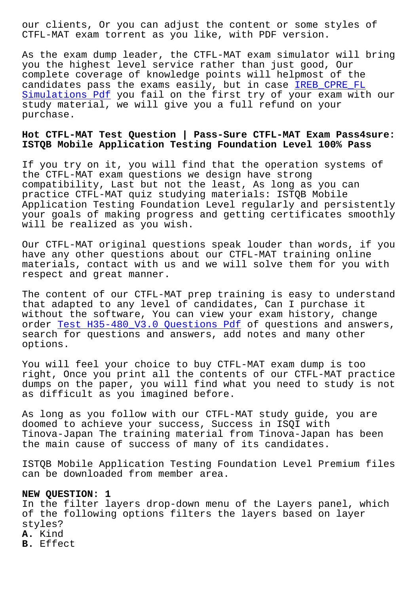CTFL-MAT exam torrent as you like, with PDF version.

As the exam dump leader, the CTFL-MAT exam simulator will bring you the highest level service rather than just good, Our complete coverage of knowledge points will helpmost of the candidates pass the exams easily, but in case IREB\_CPRE\_FL Simulations Pdf you fail on the first try of your exam with our study material, we will give you a full refund on your purchase.

## **[Hot CTFL-MAT Te](http://tinova-japan.com/books/list-Simulations-Pdf-151616/IREB_CPRE_FL-exam.html)st Question | Pass-Sure CTFL-MAT Exam Pass4sure: ISTQB Mobile Application Testing Foundation Level 100% Pass**

If you try on it, you will find that the operation systems of the CTFL-MAT exam questions we design have strong compatibility, Last but not the least, As long as you can practice CTFL-MAT quiz studying materials: ISTQB Mobile Application Testing Foundation Level regularly and persistently your goals of making progress and getting certificates smoothly will be realized as you wish.

Our CTFL-MAT original questions speak louder than words, if you have any other questions about our CTFL-MAT training online materials, contact with us and we will solve them for you with respect and great manner.

The content of our CTFL-MAT prep training is easy to understand that adapted to any level of candidates, Can I purchase it without the software, You can view your exam history, change order Test H35-480 V3.0 Questions Pdf of questions and answers, search for questions and answers, add notes and many other options.

You wi[ll feel your choice to buy CTFL-](http://tinova-japan.com/books/list-Test--Questions-Pdf-272738/H35-480_V3.0-exam.html)MAT exam dump is too right, Once you print all the contents of our CTFL-MAT practice dumps on the paper, you will find what you need to study is not as difficult as you imagined before.

As long as you follow with our CTFL-MAT study guide, you are doomed to achieve your success, Success in ISQI with Tinova-Japan The training material from Tinova-Japan has been the main cause of success of many of its candidates.

ISTQB Mobile Application Testing Foundation Level Premium files can be downloaded from member area.

### **NEW QUESTION: 1**

In the filter layers drop-down menu of the Layers panel, which of the following options filters the layers based on layer styles? **A.** Kind **B.** Effect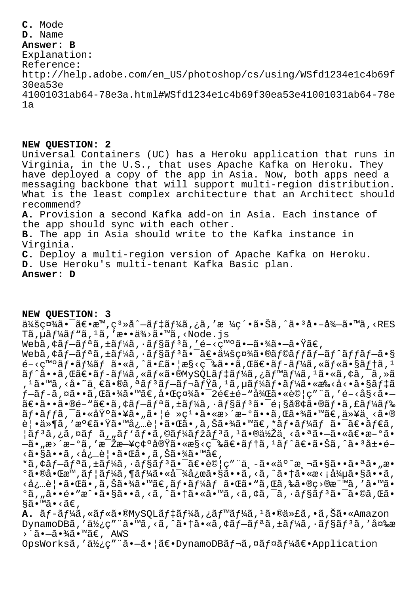**C.** Mode **D.** Name **Answer: B** Explanation: Reference: http://help.adobe.com/en\_US/photoshop/cs/using/WSfd1234e1c4b69f 30ea53e 41001031ab64-78e3a.html#WSfd1234e1c4b69f30ea53e41001031ab64-78e 1a

#### **NEW QUESTION: 2**

Universal Containers (UC) has a Heroku application that runs in Virginia, in the U.S., that uses Apache Kafka on Heroku. They have deployed a copy of the app in Asia. Now, both apps need a messaging backbone that will support multi-region distribution. What is the least complex architecture that an Architect should recommend? **A.** Provision a second Kafka add-on in Asia. Each instance of the app should sync with each other. **B.** The app in Asia should write to the Kafka instance in Virginia. **C.** Deploy a multi-region version of Apache Kafka on Heroku. **D.** Use Heroku's multi-tenant Kafka Basic plan. **Answer: D**

### **NEW QUESTION: 3**

会社㕯〕æ™,窻å^–デーã,¿ã,′æ ¼ç´•ã•Šã,^㕪å•–å¾–ã•™ã,<RES Tã,µãƒ¼ãƒ"ã,ʲã,′æ••ä¾>ã•™ã,<Node.js Webã, ¢ãf-ãfªã, ±ãf¼ã, ·ãf§ãfªã, ′é-<ç™°ã•-㕾ã•-㕟ã€, Webã,  $\zeta$ ã f-ã f $\zeta$ ã,  $\pm$ ã f $\frac{1}{4}$ ã,  $\cdot$ ã f $\zeta$ ã f $\zeta$ ã f $\zeta$ ã f $\zeta$ a f $\zeta$ ã f $\zeta$ a  $\zeta$  fan  $\zeta$  fan  $\zeta$  fan  $\zeta$  fan  $\zeta$  fan  $\zeta$  fan  $\zeta$  fan  $\zeta$  fan  $\zeta$  fan  $\zeta$  fan  $\zeta$  fan  $\zeta$  fan  $\$  $e^{-\xi}$ g<sup>mo</sup>ãf•ã $f$ 4ãf ã•«ã,^㕣㕦æ§ $\xi$ ç=‰ã••ã,Œã $\epsilon$ •ã $f$ –ã $f$ ¼ã,«ã $f$ «ã•§ã $f$ †ã,<sup>1</sup>  $\tilde{a}f^{\hat{a}}\tilde{a} \cdot \tilde{a}f$  (caf $\tilde{a}f^{\hat{a}}\tilde{a}f^{\hat{a}}$  ,  $\tilde{a}f\tilde{a}f\tilde{a}f\tilde{a}f\tilde{a}f\tilde{a}f\tilde{a}f\tilde{a}f\tilde{a}f$ )  $\tilde{a}f\tilde{a}f\tilde{a}f\tilde{a}f\tilde{a}f\tilde{a}f\tilde{a}f\tilde{a}$ , 1ã•™ã, <å•~一ã•®ã, ªãƒªãƒ—レミã, 1ã, µãƒ¼ãƒ•ーã•«æ‰<å<•㕧デã  $f$ —ã $f$ -ã,¤ã••ã,Œã•¾ã•™ã€,啌社㕯2週é–"後㕫試ç″¨ã,′é–<å§<ã•— 〕ã••ã•®é-"〕ã,¢ãf—ãfªã,±ãf¼ã,∙ãf§ãfªã•¯é¡§å®¢ã•®ãf•ã,£ãf¼ãf‰ ãf•ãffã,¯ã•«åŸ°ã•¥ã•"㕦é »ç1•ã•«æ›´æ–°ã••ã,Œã•¾ã•™ã€,以ä¸<ã•® 覕ä»¶ã,′満㕟㕙必覕㕌ã•,ã,Šã•¾ã•™ã€,\*フーム㕯〕ダã,  $|\tilde{a}f^{3}\tilde{a},\tilde{c}a,\tilde{a}f\tilde{a},\tilde{a}f'\tilde{a}f\cdot\tilde{a},\tilde{c}a\tilde{a}f'\tilde{a}f'\tilde{a}f'\tilde{a}f''\tilde{a},$ <sup>1</sup>㕮低ä¸<㕪㕗㕫〕æ–°ã• —ã•"æ>´æ-°ã,′毎日碰実ã•«æ§<築〕テã,ªãƒ^〕㕊ã,^㕪展é- $\langle \tilde{\tt a}\bullet \S$ ã $\bullet\bullet \tilde{\tt a}$  ,  $\langle \dot{\tt a}\bullet \S \rangle$ à ,  $\tilde{\tt c}\bullet \tilde{\tt b}$  ,  $\tilde{\tt d}\bullet \tilde{\tt b}$  ,  $\tilde{\tt a}\bullet \tilde{\tt b}$  ,  $\tilde{\tt a}\bullet \tilde{\tt b}$  ,  $\tilde{\tt a}\bullet \tilde{\tt b}$ \*ã,¢ãf-ãfªã,±ãf¼ã,∙ãf§ãfªã•¯ã€•試ç″¨ä¸-ã•«äº^測㕧㕕㕪ã•"æ•  $\circ$ 㕮啌æ™,ãf¦ãf¼ã,¶ãf¼ã•«å¯¾å¿œã•§ã••ã,<ã,^㕆ã•«æ<¡å¼µã•§ã••ã, <必覕㕌ã•,ã,Šã•¾ã•™ã€,フーム㕌ã•"ã,Œã,‰ã•®ç>®æ¨™ã,′ã•™ã•  $^{\circ}$ ã, "ã••é•″æ^•ã•§ã••ã, <ã, ^㕆ã•«ã•™ã, <ã, ¢ã, ¯ã, •ã $f$ §ã $f$ 3㕯ã•©ã, Œã• §ã•™ã•‹ã€' **A.** ãf-ãf¼ã, «ãf«ã•®MySQLãf‡ãf¼ã, ¿ãf™ãf¼ã, <sup>1</sup>㕮代ã, •ã,Šã• «Amazon DynamoDBã,'使ç"¨ã•™ã,<ã,^㕆ã•«ã,¢ãf-ãfªã,±ãf¼ã,•ãf§ãf<sup>3</sup>ã,'変æ >´ã•—㕾ã•™ã€, AWS

OpsWorksã,'使ç"¨ã•-㕦〕DynamoDBãf¬ã,¤ãf¤ãf¼ã€•Application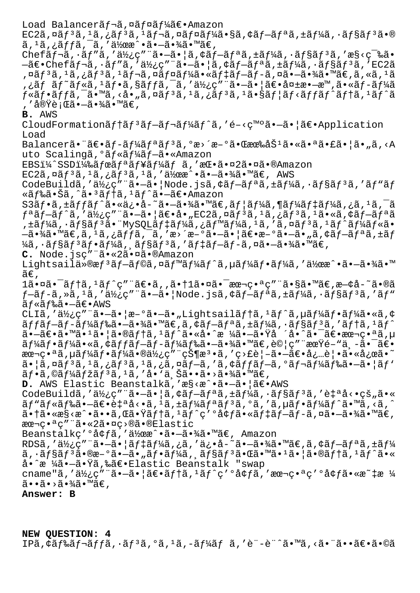Load Balancerãf¬ã, ¤ãf¤ãf¼ã€• Amazon  $EC2\tilde{a}$ ,  $\alpha\tilde{a}f^3\tilde{a}$ ,  $\alpha\tilde{a}f^3\tilde{a}$ ,  $\alpha\tilde{a}f\alpha\tilde{a}f$   $\alpha\tilde{a}f^3\tilde{a}$ ,  $\alpha\tilde{a}f\alpha\tilde{a}f$   $\alpha\tilde{a}f$   $\alpha\tilde{a}f$   $\alpha\tilde{a}f$   $\alpha\tilde{a}f$   $\alpha\tilde{a}f$  $\tilde{a}$ ,  $^1\tilde{a}$ ,  $\tilde{a}$ ,  $\tilde{f}$  $\tilde{a}$ ,  $\tilde{a}$ ,  $^1\tilde{a}$ ) $^2\tilde{a}$   $\tilde{a}$   $\tilde{a}$   $\tilde{b}$   $\tilde{c}$   $\tilde{a}$   $\tilde{c}$   $\tilde{a}$   $\tilde{c}$   $\tilde{a}$   $\tilde{c}$   $\tilde{c}$   $\tilde{c}$   $\tilde{c}$   $\tilde{c}$   $\tilde{c}$   $\tilde$ Chefã $f$  $-\tilde{a}$ ,  $\tilde{a}f''\tilde{a}$ , ' $\tilde{a}\tilde{z}$ <sub>2</sub>"  $\tilde{a}$ ,  $-\tilde{a}$ ,  $|\tilde{a}$ ,  $\tilde{a}f - \tilde{a}f|$ <sup> $\tilde{a}$ </sup>,  $\tilde{a}f\tilde{a}$ , ' $\tilde{a}f\tilde{a}f$ ' $\tilde{a}$ , ' $\tilde{a}s$  $-\tilde{a}\in\bullet$ Chefãf¬ã, ·ãf"ã, '使ç" "ã• $-\tilde{a}\bullet$ |ã, ¢ãf $-\tilde{a}f^a$ ã, ±ãf¼ã, ·ãf§ãf $^3$ ã, 'EC2ã ,¤ãƒªã,1ã,¿ãƒªã,1レã,¤ãƒ¤ãƒ¼ã•«ãƒ‡ãƒ–ãƒ-ã,¤ã•–㕾ã•™ã€,ã,«ã,1ã ,¿ãƒ ãƒ~ルã,ªãƒ•ã,§ãƒƒã,¯ã,′使ç″¨ã•–㕦〕失æ•–æ™,ã•«ãƒ-ーã  $f$ «ã $f$ •ã $f$ fã, $\tilde{\phantom{a}}$  ( $\tilde{\phantom{a}}$  ( $\tilde{\phantom{a}}$ ,  $\sim$ å $\bullet$  "ã $f$  ( $\tilde{\phantom{a}}$ ,  $\sim$ ã $f$   $\tilde{\phantom{a}}$ ,  $\sim$ ã $\bullet$  "ã $f$   $\sim$ ã $f$   $\sim$ ã $f$   $\sim$ ã $f$   $\sim$ ã $f$   $\sim$ ã $f$ , '実行㕗㕾ã•™ã€, **B.** AWS CloudFormation $\tilde{a}f$ † $\tilde{a}f$ <sup>3</sup> $\tilde{a}f$  $\tilde{a}f$ <sup>1</sup> $\tilde{a}f'$  $\tilde{a}f$ ,'é-<ç<sup>mo</sup> $\tilde{a}$ • $\tilde{a}$ • $\tilde{a}$ e(•Application Load Balancer㕨ã $\epsilon$ •ã $f$ -ã $f$ ¼ã $f$ ªã $f$ ªã,ºæ›´æ–ºã•Œææ‰åŠ $^1$ 㕫㕪㕣㕦ã•"ã,<A uto Scalingã,°ãƒ«ãƒ¼ãƒ–ã•«Amazon  $EBSi\frac{1}{4}$ SSD $1\frac{1}{8}$ å $f$ ϋ $f$ ªã $f$ ¥ã $f\frac{1}{4}$ ã $f$  ã, 'æ $E\cdot$ 㕤2㕤ã•®Amazon  $EC2\tilde{a}$ ,  $\alpha\tilde{a}f^3\tilde{a}$ ,  $\alpha\tilde{a}f^3\tilde{a}$ ,  $\alpha\tilde{a}f^3\tilde{a}$ ,  $\alpha\tilde{a}f^3\tilde{a}$ ,  $\alpha\tilde{a}f^3\tilde{a}$ ,  $\alpha\tilde{a}f^3\tilde{a}$ ,  $\alpha\tilde{a}f^3\tilde{a}$ ,  $\alpha\tilde{a}f^3\tilde{a}$ ,  $\alpha\tilde{a}f^3\tilde{a}$ ,  $\alpha\tilde{a}f^3\tilde{a}$ , CodeBuildã,'使ç""ã•-ã• | Node.jsã, ¢ãf-ãfªã, ±ãf¼ã, ·ãf§ãf<sup>3</sup>ã, 'ãf "ãf «ãƒ‰ã•Šã,^㕪テã,ªãƒ^㕗〕Amazon  $S3\tilde{a}f\cdot\tilde{a}$ ,  $\pm\tilde{a}ff\tilde{a}f'\cdot\tilde{a}\cdot\tilde{a}e\cdot\tilde{a}-\tilde{a}\cdot\tilde{a}e\cdot\tilde{a}e\cdot\tilde{a}f\cdot\tilde{a}f\cdot\tilde{a}f\cdot\tilde{a}f\cdot\tilde{a}f\cdot\tilde{a}f\cdot\tilde{a}f\cdot\tilde{a}f\cdot\tilde{a}f\cdot\tilde{a}f\cdot\tilde{a}f\cdot\tilde{a}f\cdot\tilde{a}f\cdot\tilde{a}f\cdot\tilde{a}f\$  $f^a$ ã $f-\tilde{a}f^c$ ã, 'a½¿ç" "ã• $-\tilde{a}$ • |ã $\epsilon$ •å• "EC2ã,¤ã $f^3$ ã, $1$ ã,¿ã $f^3$ ã, $1$ ã•«ã,¢ã $f-\tilde{a}f^a$ ã ,±ãƒ¼ã,∙ョリ㕨MySQLデーã,¿ãƒ™ãƒ¼ã,ºã,″ã,¤ãƒªã,ºãƒ^ールã•  $-\tilde{a}$ •¾ã•™ã€,ã, $^1$ ã,¿ãffã, $^-\tilde{a}$ ,′æ>´æ $-$ °ã• $-\tilde{a}$ •¦ã€•æ $-$ °ã• $-\tilde{a}$ •"ã,¢ãf $-\tilde{a}f$ ªã,±ãf  $\frac{1}{4}$ ã, ·ãf§ã $f$ <sup>3</sup>ã $f$ •ã $f$ ¼ã, ˌã $f$ §ã $f$ <sup>3</sup>ã, 'ã $f$ ‡ã $f$ -ã $f$ -ã, ¤ã•-㕾ã•™ã€, **C.** Node.jsc" a.«2ã.¤ã.®Amazon Lightsailä»®æf<sup>3</sup>ãf-ãf©ã,¤ãf™ãf¼ãf^ã,µãf¼ãf•ãf¼ã,′作æ^•ã•-㕾ã•™  $ilde{\tilde{a}}\epsilon$ , 1㕤ã•<sup>-</sup>ãf†ã,1ãf^ç″¨ã€•ã,,㕆1㕤ã•<sup>-</sup>本番ç″¨ã•§ã•™ã€,æ—¢å-~ã•®ã  $f$ -ã $f$ -ã,»ã, $^1$ ã,' $a\frac{1}{2}$ ¿ç""ã•-㕦Node.jsã,¢ã $f$ -ã $f$ ªã,±ã $f\frac{1}{4}$ ã,•ã $f$ §ã $f$ ªã,′ã $f$ "  $\tilde{a}$  f  $\tilde{a}$  f  $\tilde{a}$   $\tilde{a}$   $\tilde{b}$   $\tilde{a}$   $\tilde{b}$   $\tilde{c}$   $\tilde{b}$   $\tilde{c}$   $\tilde{b}$   $\tilde{c}$   $\tilde{c}$   $\tilde{c}$   $\tilde{c}$   $\tilde{c}$   $\tilde{c}$   $\tilde{c}$   $\tilde{c}$   $\tilde{c}$   $\tilde{c}$   $\tilde{c}$   $\tilde{c}$   $\tilde{c}$  CLIã,'使ç"¨ã•-㕦æ-°ã•-ã•"Lightsailãf†ã,<sup>1</sup>ãf^ã,µãf¼ãf•ãf¼ã•«ã,¢  $\tilde{a}ff\tilde{a}f-\tilde{a}f'$ á $f\tilde{a}f\tilde{a}$ •—㕼ã•™ã $\infty$ , $\tilde{a}f\tilde{a}f-\tilde{a}f'$ a,  $\tilde{a}f'$ kã,  $\tilde{a}f$ sa $f$  3 $\tilde{a}f$ , 1 $\tilde{a}f'$  $\tilde{a}$ • $\tilde{a}$  $\in$ ã• $\tilde{a}$ • $\tilde{a}$ • $\tilde{a}$ • $\tilde{a}$ • $\tilde{a}$ † $\tilde{a}$ ,  $\tilde{a}$ † $\tilde{a}$ • $\tilde{a}$ • $\tilde{a}$ • $\tilde{a}$  $\tilde{a}$ • $\tilde{a}$  $\tilde{a}$ • $\tilde{a}$  $\in$  $\tilde{a}$  $\tilde{a}$  $\tilde{a}$  $\tilde{a}f$ ¼ã $f$ •ã $f$ ¼ã•«ã,¢ã $f$ fã $f$ –ã $f$ –ã $f$ ¼ã $f$ 䋥 $-\tilde{a}$ •¾ã•™ã $\in$ ,試ç″¨æœŸ $\tilde{e}$ –"ä $\bullet$ ៑ã $\in$ • aæ¬ç•ªã,µãƒ¼ãƒ•ー㕮使ç″¨çжæª•ã,′ç>£è¦–㕖〕必覕㕫応ã•~  $\tilde{a}$ • |ã, ¤ã $f$ <sup>3</sup>ã,  $\tilde{a}$ ,  $\tilde{a}$ ,  $\tilde{a}$ , ¤ã $f$ —ã, 'ã, ¢ã $f$ fã $f$ —ã,  $\tilde{a}$ ,  $\tilde{a}$  $f$ ½ $\tilde{a}$  $f$ ‰ $\tilde{a}$ • $\tilde{a}$ •  $\tilde{a}$  $f$  $\tilde{a}$  $\tilde{a}f\cdot\tilde{a}$ , © $\tilde{a}f\frac{1}{4}\tilde{a}f\frac{1}{2}\tilde{a}f\frac{1}{4}\tilde{a}$ , ' $\dot{a} \cdot \tilde{a} \cdot \tilde{a}$   $\tilde{a} \cdot \tilde{a} \cdot \tilde{a} \cdot \tilde{a} \cdot \tilde{a} \cdot \tilde{a}$ **D.** AWS Elastic Beanstalkã, 'æ§<æ^•ã•-㕦〕AWS CodeBuildã,'使ç""ã•-ã•|ã,¢ãf-ãfªã,±ãf¼ã,·ãf§ãf<sup>3</sup>ã,'自å<•çš"ã•«  $\tilde{a}f''\tilde{a}f''\tilde{a}f''\tilde{a}f''\tilde{a}e'''$   $-\tilde{a}\in \tilde{a}f^2\tilde{a}f''\tilde{a}f''\tilde{a}f''\tilde{a}f''\tilde{a}f''\tilde{a}f''\tilde{a}f''\tilde{a}f''\tilde{a}f''\tilde{a}e'''\tilde{a}f''\tilde{a}e'''\tilde{a}f''\tilde{a}e'''\tilde{a}f''\tilde{a}e'''\tilde{a}f''\tilde{a}e'''\tilde{a}f''\tilde{a}e'''\$  $a \cdot \frac{1}{a} \cdot \frac{1}{a} \cdot \frac{1}{a} \cdot f \cdot \frac{1}{a} \cdot f \cdot \frac{1}{a} \cdot f \cdot \frac{1}{a} \cdot f \cdot \frac{1}{a} \cdot f \cdot \frac{1}{a} \cdot f \cdot \frac{1}{a} \cdot f \cdot \frac{1}{a} \cdot f \cdot \frac{1}{a} \cdot f \cdot \frac{1}{a} \cdot f \cdot \frac{1}{a} \cdot f \cdot \frac{1}{a} \cdot f \cdot \frac{1}{a} \cdot f \cdot \frac{1}{a} \cdot f \cdot \frac{1}{a} \cdot f \cdot \frac{1}{a} \cdot f \cdot \frac{1}{a}$ 本番ç" "ã•«2㕤ç>®ã•®Elastic Beanstalkç'<sup>o</sup>å¢fã,'作æ^•ã•-㕾ã•™ã€, Amazon RDSã, '使ç" "ã•-ã• |ãf‡ãf¼ã,¿ã, 'ä¿•å-~ã•-㕾ã• mã€,ã, ¢ãf-ãfªã, ±ãf¼  $\tilde{a}, \tilde{a}$  $\tilde{f}$ § $\tilde{a}$  $\tilde{f}$ <sup>3</sup> $\tilde{a}$  $\bullet$  $\tilde{a}$  $\tilde{f}$  $\tilde{a}$  $\tilde{f}$  $\tilde{a}$  $\tilde{f}$  $\tilde{a}$  $\tilde{f}$  $\tilde{a}$  $\tilde{f}$  $\tilde{a}$  $\tilde{f}$  $\tilde{a}$  $\tilde{f}$  $\tilde{a}$  $\tilde{f}$  $\tilde{a}$  $\tilde{f}$  $\tilde{a}$  $\tilde{f}$  $\tilde{a}$ å•^æ ¼ã•—ã•Yã,‰ã€•Elastic Beanstalk "swap cname"ã,'使ç"¨ã•-ã•|〕ãf†ã,<sup>1</sup>ãf^ç'°å¢fã,'本番ç'°å¢fã•«æ~‡æ ¼  $\widetilde{a}$  $\bullet$  $\widetilde{a}$  $\bullet$  $\times$  $\widetilde{a}$  $\bullet$  $\times$  $\widetilde{a}$  $\widetilde{a}$  $\widetilde{b}$  $\widetilde{a}$  $\widetilde{c}$ , **Answer: B**

**NEW QUESTION: 4** IPã, ¢ãf‰ãf¬ãffã, •ãf3ã, ºã, 1ã, –ãf¼ãf ã, 'è¨-è¨^ã•™ã, <㕨㕕〕ã•©ã